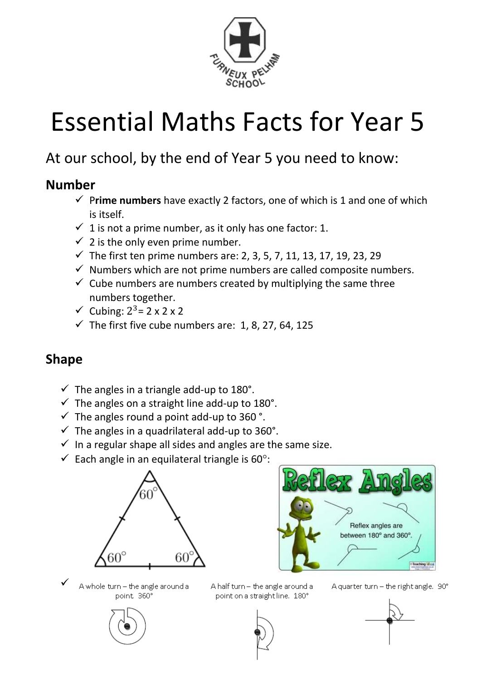

# Essential Maths Facts for Year 5

# At our school, by the end of Year 5 you need to know:

#### **Number**

- ✓ P**rime numbers** have exactly 2 factors, one of which is 1 and one of which is itself.
- $\checkmark$  1 is not a prime number, as it only has one factor: 1.
- $\checkmark$  2 is the only even prime number.
- ✓ The first ten prime numbers are: 2, 3, 5, 7, 11, 13, 17, 19, 23, 29
- $\checkmark$  Numbers which are not prime numbers are called composite numbers.
- $\checkmark$  Cube numbers are numbers created by multiplying the same three numbers together.
- $\checkmark$  Cubing:  $2^3$  = 2 x 2 x 2
- $\checkmark$  The first five cube numbers are: 1, 8, 27, 64, 125

## **Shape**

- $\checkmark$  The angles in a triangle add-up to 180°.
- $\checkmark$  The angles on a straight line add-up to 180°.
- $\checkmark$  The angles round a point add-up to 360 °.
- $\checkmark$  The angles in a quadrilateral add-up to 360°.
- $\checkmark$  In a regular shape all sides and angles are the same size.
- $\checkmark$  Each angle in an equilateral triangle is 60°:





✓A whole turn - the angle around a point 360°

A half turn - the angle around a point on a straight line. 180°

A quarter turn - the right angle. 90°